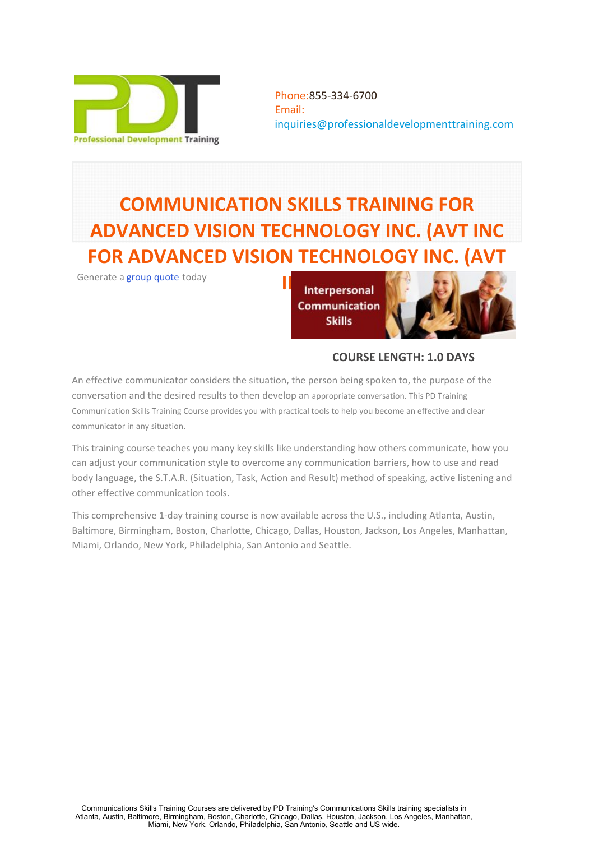

Phone:855-334-6700 Email: [inquiries@professionaldevelopmenttraining.com](mailto:inquiries@professionaldevelopmenttraining.com)

# **COMMUNICATION SKILLS TRAINING FOR ADVANCED VISION TECHNOLOGY INC. (AVT INC FOR ADVANCED VISION TECHNOLOGY INC. (AVT**

**Communication Skills** 



**COURSE LENGTH: 1.0 DAYS**

An effective communicator considers the situation, the person being spoken to, the purpose of the conversation and the desired results to then develop an appropriate conversation. This PD Training Communication Skills Training Course provides you with practical tools to help you become an effective and clear communicator in any situation.

This training course teaches you many key skills like understanding how others communicate, how you can adjust your communication style to overcome any communication barriers, how to use and read body language, the S.T.A.R. (Situation, Task, Action and Result) method of speaking, active listening and other effective communication tools.

This comprehensive 1-day training course is now available across the U.S., including Atlanta, Austin, Baltimore, Birmingham, Boston, Charlotte, Chicago, Dallas, Houston, Jackson, Los Angeles, Manhattan, Miami, Orlando, New York, Philadelphia, San Antonio and Seattle.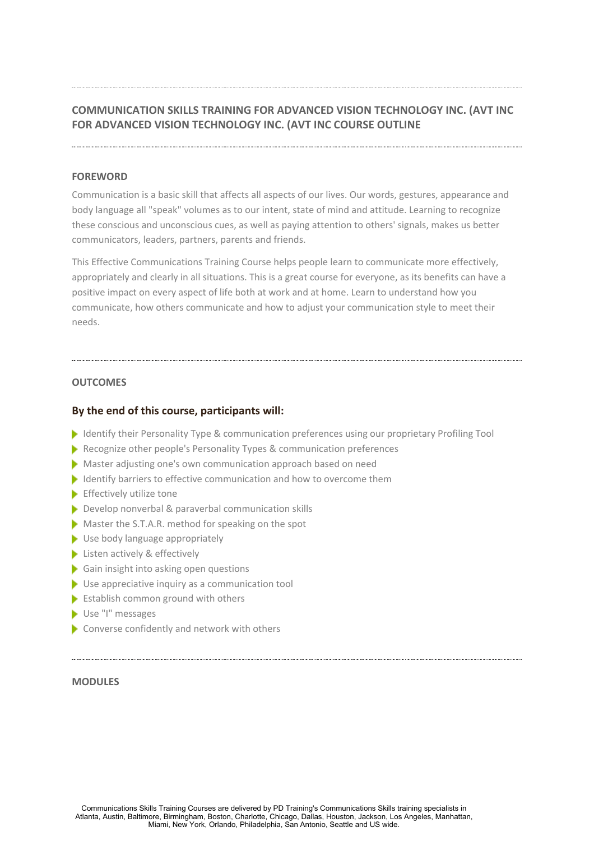# **COMMUNICATION SKILLS TRAINING FOR ADVANCED VISION TECHNOLOGY INC. (AVT INC FOR ADVANCED VISION TECHNOLOGY INC. (AVT INC COURSE OUTLINE**

# **FOREWORD**

Communication is a basic skill that affects all aspects of our lives. Our words, gestures, appearance and body language all "speak" volumes as to our intent, state of mind and attitude. Learning to recognize these conscious and unconscious cues, as well as paying attention to others' signals, makes us better communicators, leaders, partners, parents and friends.

This Effective Communications Training Course helps people learn to communicate more effectively, appropriately and clearly in all situations. This is a great course for everyone, as its benefits can have a positive impact on every aspect of life both at work and at home. Learn to understand how you communicate, how others communicate and how to adjust your communication style to meet their needs.

# **OUTCOMES**

# **By the end of this course, participants will:**

- Identify their Personality Type & communication preferences using our proprietary Profiling Tool
- Recognize other people's Personality Types & communication preferences
- Master adjusting one's own communication approach based on need
- Identify barriers to effective communication and how to overcome them
- $\blacktriangleright$  Effectively utilize tone
- Develop nonverbal & paraverbal communication skills
- Master the S.T.A.R. method for speaking on the spot
- Use body language appropriately
- Listen actively & effectively
- Gain insight into asking open questions
- Use appreciative inquiry as a communication tool
- $\blacktriangleright$  Establish common ground with others
- Use "I" messages
- Converse confidently and network with others

# **MODULES**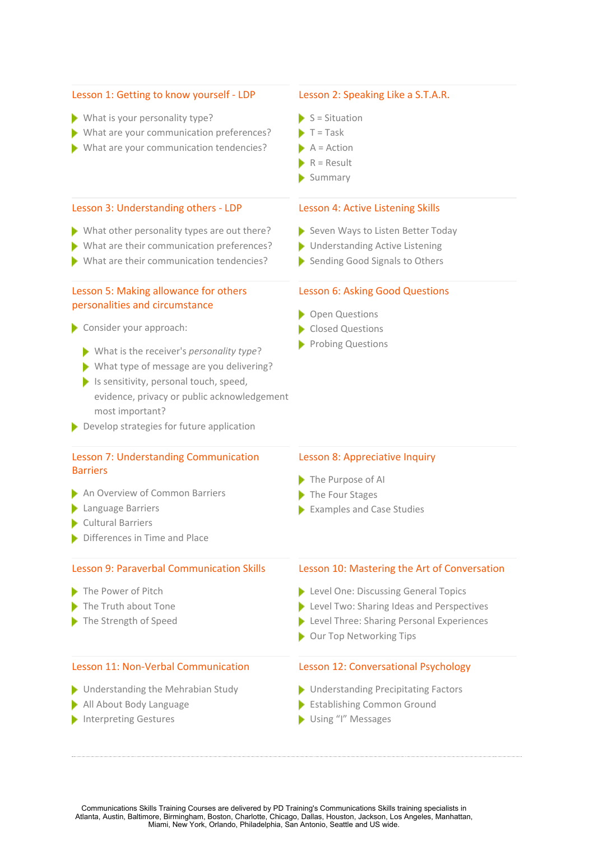#### Lesson 1: Getting to know yourself - LDP

- What is your personality type?
- What are your communication preferences?
- What are your communication tendencies?

#### Lesson 3: Understanding others - LDP

- What other personality types are out there?
- What are their communication preferences?
- What are their communication tendencies?

# Lesson 5: Making allowance for others personalities and circumstance

#### Consider your approach:

- What is the receiver's *personality type*?
- What type of message are you delivering?
- $\blacktriangleright$  Is sensitivity, personal touch, speed, evidence, privacy or public acknowledgement most important?
- Develop strategies for future application

# Lesson 7: Understanding Communication Barriers

- An Overview of Common Barriers
- **Language Barriers**
- Cultural Barriers
- Differences in Time and Place

# Lesson 9: Paraverbal Communication Skills

- 
- 
- 

# Lesson 11: Non-Verbal Communication Lesson 12: Conversational Psychology

- **Understanding the Mehrabian Study**
- 
- Interpreting Gestures

# Lesson 2: Speaking Like a S.T.A.R.

- $S =$  Situation
- $\blacktriangleright$  T = Task
- $A = Action$
- $R =$  Result
- Summary

#### Lesson 4: Active Listening Skills

- Seven Ways to Listen Better Today
- **Understanding Active Listening**
- Sending Good Signals to Others

# Lesson 6: Asking Good Questions

- Open Questions
- Closed Questions
- Probing Questions

### Lesson 8: Appreciative Inquiry

- The Purpose of AI
- The Four Stages
- Examples and Case Studies

#### Lesson 10: Mastering the Art of Conversation

- The Power of Pitch **Example 2018** Level One: Discussing General Topics
- The Truth about Tone Level Two: Sharing Ideas and Perspectives
- The Strength of Speed Level Three: Sharing Personal Experiences
	- Our Top Networking Tips

- **Inderstanding Precipitating Factors**
- All About Body Language Establishing Common Ground
	- Using "I" Messages